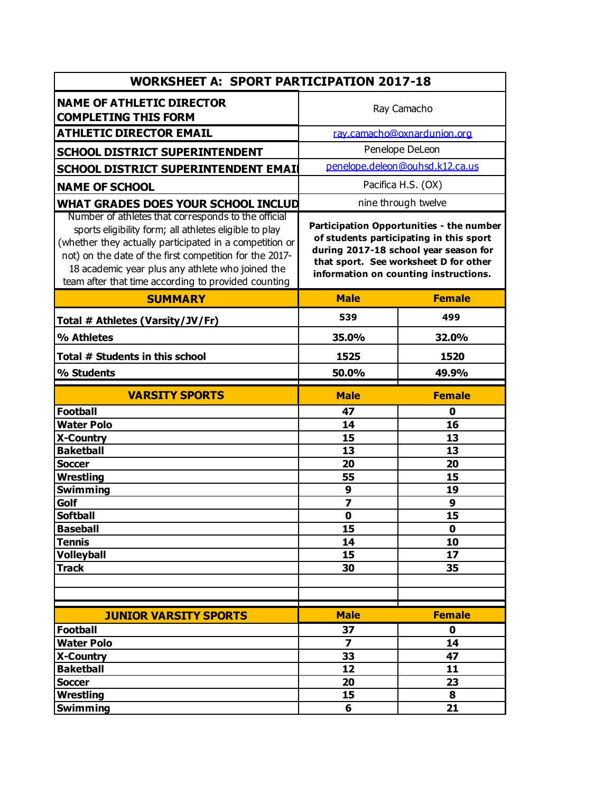| <b>WORKSHEET A: SPORT PARTICIPATION 2017-18</b>                                                                                                                                                                                                                                         |                                                                                                                                                                                                                |                   |  |  |
|-----------------------------------------------------------------------------------------------------------------------------------------------------------------------------------------------------------------------------------------------------------------------------------------|----------------------------------------------------------------------------------------------------------------------------------------------------------------------------------------------------------------|-------------------|--|--|
| <b>NAME OF ATHLETIC DIRECTOR</b><br><b>COMPLETING THIS FORM</b>                                                                                                                                                                                                                         | Ray Camacho                                                                                                                                                                                                    |                   |  |  |
| <b>ATHLETIC DIRECTOR EMAIL</b>                                                                                                                                                                                                                                                          | ray.camacho@oxnardunion.org                                                                                                                                                                                    |                   |  |  |
| <b>SCHOOL DISTRICT SUPERINTENDENT</b>                                                                                                                                                                                                                                                   | Penelope DeLeon                                                                                                                                                                                                |                   |  |  |
| SCHOOL DISTRICT SUPERINTENDENT EMAIL                                                                                                                                                                                                                                                    | penelope.deleon@ouhsd.k12.ca.us                                                                                                                                                                                |                   |  |  |
|                                                                                                                                                                                                                                                                                         | Pacifica H.S. (OX)                                                                                                                                                                                             |                   |  |  |
| <b>NAME OF SCHOOL</b>                                                                                                                                                                                                                                                                   |                                                                                                                                                                                                                |                   |  |  |
| WHAT GRADES DOES YOUR SCHOOL INCLUD<br>Number of athletes that corresponds to the official                                                                                                                                                                                              | nine through twelve                                                                                                                                                                                            |                   |  |  |
| sports eligibility form; all athletes eligible to play<br>(whether they actually participated in a competition or<br>not) on the date of the first competition for the 2017-<br>18 academic year plus any athlete who joined the<br>team after that time according to provided counting | Participation Opportunities - the number<br>of students participating in this sport<br>during 2017-18 school year season for<br>that sport. See worksheet D for other<br>information on counting instructions. |                   |  |  |
| <b>SUMMARY</b>                                                                                                                                                                                                                                                                          | <b>Male</b>                                                                                                                                                                                                    | <b>Female</b>     |  |  |
| Total # Athletes (Varsity/JV/Fr)                                                                                                                                                                                                                                                        | 539                                                                                                                                                                                                            | 499               |  |  |
| % Athletes                                                                                                                                                                                                                                                                              | 35.0%                                                                                                                                                                                                          | 32.0%             |  |  |
| Total # Students in this school                                                                                                                                                                                                                                                         | 1525                                                                                                                                                                                                           | 1520              |  |  |
| % Students                                                                                                                                                                                                                                                                              | 50.0%                                                                                                                                                                                                          | 49.9%             |  |  |
| <b>VARSITY SPORTS</b>                                                                                                                                                                                                                                                                   | <b>Male</b>                                                                                                                                                                                                    | <b>Female</b>     |  |  |
| <b>Football</b>                                                                                                                                                                                                                                                                         | 47                                                                                                                                                                                                             | 0                 |  |  |
| <b>Water Polo</b>                                                                                                                                                                                                                                                                       | 14                                                                                                                                                                                                             | 16                |  |  |
| <b>X-Country</b>                                                                                                                                                                                                                                                                        | 15                                                                                                                                                                                                             | 13                |  |  |
| <b>Baketball</b>                                                                                                                                                                                                                                                                        | 13                                                                                                                                                                                                             | 13                |  |  |
| <b>Soccer</b>                                                                                                                                                                                                                                                                           | 20                                                                                                                                                                                                             | 20                |  |  |
| <b>Wrestling</b>                                                                                                                                                                                                                                                                        | 55                                                                                                                                                                                                             | 15                |  |  |
| <b>Swimming</b>                                                                                                                                                                                                                                                                         | 9                                                                                                                                                                                                              | 19                |  |  |
| Golf                                                                                                                                                                                                                                                                                    | $\overline{\mathbf{z}}$                                                                                                                                                                                        | 9                 |  |  |
| <b>Softball</b>                                                                                                                                                                                                                                                                         | $\mathbf 0$                                                                                                                                                                                                    | 15                |  |  |
| <b>Baseball</b><br><b>Tennis</b>                                                                                                                                                                                                                                                        | 15<br>14                                                                                                                                                                                                       | $\mathbf 0$<br>10 |  |  |
| <b>Volleyball</b>                                                                                                                                                                                                                                                                       | 15                                                                                                                                                                                                             | 17                |  |  |
| <b>Track</b>                                                                                                                                                                                                                                                                            | 30                                                                                                                                                                                                             | 35                |  |  |
|                                                                                                                                                                                                                                                                                         |                                                                                                                                                                                                                |                   |  |  |
|                                                                                                                                                                                                                                                                                         |                                                                                                                                                                                                                |                   |  |  |
|                                                                                                                                                                                                                                                                                         |                                                                                                                                                                                                                |                   |  |  |
| <b>JUNIOR VARSITY SPORTS</b>                                                                                                                                                                                                                                                            | <b>Male</b>                                                                                                                                                                                                    | <b>Female</b>     |  |  |
| <b>Football</b><br><b>Water Polo</b>                                                                                                                                                                                                                                                    | 37<br>$\overline{\mathbf{z}}$                                                                                                                                                                                  | 0<br>14           |  |  |
| X-Country                                                                                                                                                                                                                                                                               | 33                                                                                                                                                                                                             | 47                |  |  |
| <b>Baketball</b>                                                                                                                                                                                                                                                                        | 12                                                                                                                                                                                                             | 11                |  |  |
| <b>Soccer</b>                                                                                                                                                                                                                                                                           | 20                                                                                                                                                                                                             | 23                |  |  |
| <b>Wrestling</b>                                                                                                                                                                                                                                                                        | 15                                                                                                                                                                                                             | 8                 |  |  |
| Swimming                                                                                                                                                                                                                                                                                | 6                                                                                                                                                                                                              | 21                |  |  |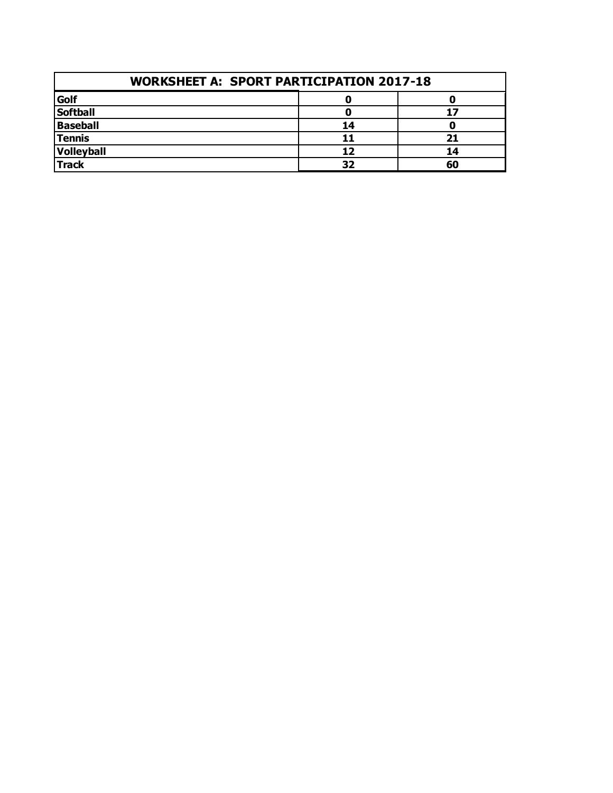| <b>WORKSHEET A: SPORT PARTICIPATION 2017-18</b> |    |    |  |  |
|-------------------------------------------------|----|----|--|--|
| Golf                                            |    |    |  |  |
| <b>Softball</b>                                 |    |    |  |  |
| <b>Baseball</b>                                 | 14 |    |  |  |
| <b>Tennis</b>                                   | 11 | 21 |  |  |
| Volleyball                                      | 12 | 14 |  |  |
| <b>Track</b>                                    | 32 | 60 |  |  |